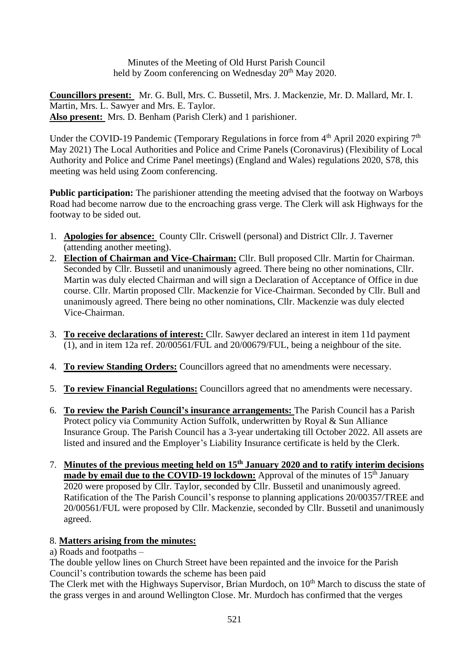Minutes of the Meeting of Old Hurst Parish Council held by Zoom conferencing on Wednesday  $20<sup>th</sup>$  May 2020.

**Councillors present:** Mr. G. Bull, Mrs. C. Bussetil, Mrs. J. Mackenzie, Mr. D. Mallard, Mr. I. Martin, Mrs. L. Sawyer and Mrs. E. Taylor. **Also present:** Mrs. D. Benham (Parish Clerk) and 1 parishioner.

Under the COVID-19 Pandemic (Temporary Regulations in force from  $4<sup>th</sup>$  April 2020 expiring  $7<sup>th</sup>$ May 2021) The Local Authorities and Police and Crime Panels (Coronavirus) (Flexibility of Local Authority and Police and Crime Panel meetings) (England and Wales) regulations 2020, S78, this meeting was held using Zoom conferencing.

**Public participation:** The parishioner attending the meeting advised that the footway on Warboys Road had become narrow due to the encroaching grass verge. The Clerk will ask Highways for the footway to be sided out.

- 1. **Apologies for absence:** County Cllr. Criswell (personal) and District Cllr. J. Taverner (attending another meeting).
- 2. **Election of Chairman and Vice-Chairman:** Cllr. Bull proposed Cllr. Martin for Chairman. Seconded by Cllr. Bussetil and unanimously agreed. There being no other nominations, Cllr. Martin was duly elected Chairman and will sign a Declaration of Acceptance of Office in due course. Cllr. Martin proposed Cllr. Mackenzie for Vice-Chairman. Seconded by Cllr. Bull and unanimously agreed. There being no other nominations, Cllr. Mackenzie was duly elected Vice-Chairman.
- 3. **To receive declarations of interest:** Cllr. Sawyer declared an interest in item 11d payment  $(1)$ , and in item 12a ref. 20/00561/FUL and 20/00679/FUL, being a neighbour of the site.
- 4. **To review Standing Orders:** Councillors agreed that no amendments were necessary.
- 5. **To review Financial Regulations:** Councillors agreed that no amendments were necessary.
- 6. **To review the Parish Council's insurance arrangements:** The Parish Council has a Parish Protect policy via Community Action Suffolk, underwritten by Royal & Sun Alliance Insurance Group. The Parish Council has a 3-year undertaking till October 2022. All assets are listed and insured and the Employer's Liability Insurance certificate is held by the Clerk.
- 7. **Minutes of the previous meeting held on 15th January 2020 and to ratify interim decisions made by email due to the COVID-19 lockdown:** Approval of the minutes of 15<sup>th</sup> January 2020 were proposed by Cllr. Taylor, seconded by Cllr. Bussetil and unanimously agreed. Ratification of the The Parish Council's response to planning applications 20/00357/TREE and 20/00561/FUL were proposed by Cllr. Mackenzie, seconded by Cllr. Bussetil and unanimously agreed.

# 8. **Matters arising from the minutes:**

a) Roads and footpaths –

The double yellow lines on Church Street have been repainted and the invoice for the Parish Council's contribution towards the scheme has been paid

The Clerk met with the Highways Supervisor, Brian Murdoch, on  $10<sup>th</sup>$  March to discuss the state of the grass verges in and around Wellington Close. Mr. Murdoch has confirmed that the verges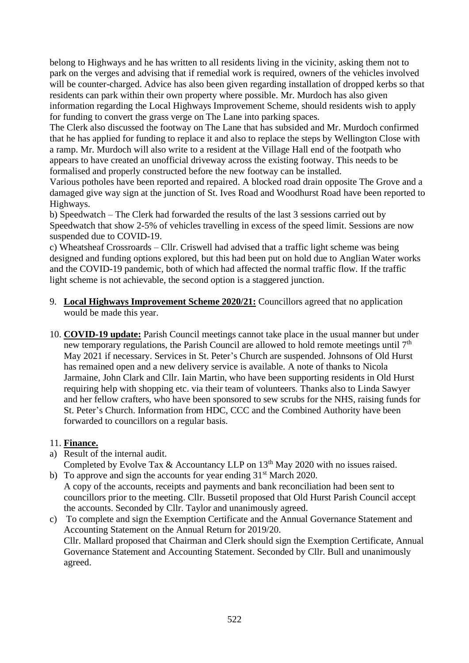belong to Highways and he has written to all residents living in the vicinity, asking them not to park on the verges and advising that if remedial work is required, owners of the vehicles involved will be counter-charged. Advice has also been given regarding installation of dropped kerbs so that residents can park within their own property where possible. Mr. Murdoch has also given information regarding the Local Highways Improvement Scheme, should residents wish to apply for funding to convert the grass verge on The Lane into parking spaces.

The Clerk also discussed the footway on The Lane that has subsided and Mr. Murdoch confirmed that he has applied for funding to replace it and also to replace the steps by Wellington Close with a ramp. Mr. Murdoch will also write to a resident at the Village Hall end of the footpath who appears to have created an unofficial driveway across the existing footway. This needs to be formalised and properly constructed before the new footway can be installed.

Various potholes have been reported and repaired. A blocked road drain opposite The Grove and a damaged give way sign at the junction of St. Ives Road and Woodhurst Road have been reported to Highways.

b) Speedwatch – The Clerk had forwarded the results of the last 3 sessions carried out by Speedwatch that show 2-5% of vehicles travelling in excess of the speed limit. Sessions are now suspended due to COVID-19.

c) Wheatsheaf Crossroards – Cllr. Criswell had advised that a traffic light scheme was being designed and funding options explored, but this had been put on hold due to Anglian Water works and the COVID-19 pandemic, both of which had affected the normal traffic flow. If the traffic light scheme is not achievable, the second option is a staggered junction.

- 9. **Local Highways Improvement Scheme 2020/21:** Councillors agreed that no application would be made this year.
- 10. **COVID-19 update:** Parish Council meetings cannot take place in the usual manner but under new temporary regulations, the Parish Council are allowed to hold remote meetings until  $7<sup>th</sup>$ May 2021 if necessary. Services in St. Peter's Church are suspended. Johnsons of Old Hurst has remained open and a new delivery service is available. A note of thanks to Nicola Jarmaine, John Clark and Cllr. Iain Martin, who have been supporting residents in Old Hurst requiring help with shopping etc. via their team of volunteers. Thanks also to Linda Sawyer and her fellow crafters, who have been sponsored to sew scrubs for the NHS, raising funds for St. Peter's Church. Information from HDC, CCC and the Combined Authority have been forwarded to councillors on a regular basis.

# 11. **Finance.**

a) Result of the internal audit.

Completed by Evolve Tax & Accountancy LLP on  $13<sup>th</sup>$  May 2020 with no issues raised.

b) To approve and sign the accounts for year ending  $31<sup>st</sup>$  March 2020. A copy of the accounts, receipts and payments and bank reconciliation had been sent to councillors prior to the meeting. Cllr. Bussetil proposed that Old Hurst Parish Council accept the accounts. Seconded by Cllr. Taylor and unanimously agreed.

c) To complete and sign the Exemption Certificate and the Annual Governance Statement and Accounting Statement on the Annual Return for 2019/20. Cllr. Mallard proposed that Chairman and Clerk should sign the Exemption Certificate, Annual Governance Statement and Accounting Statement. Seconded by Cllr. Bull and unanimously agreed.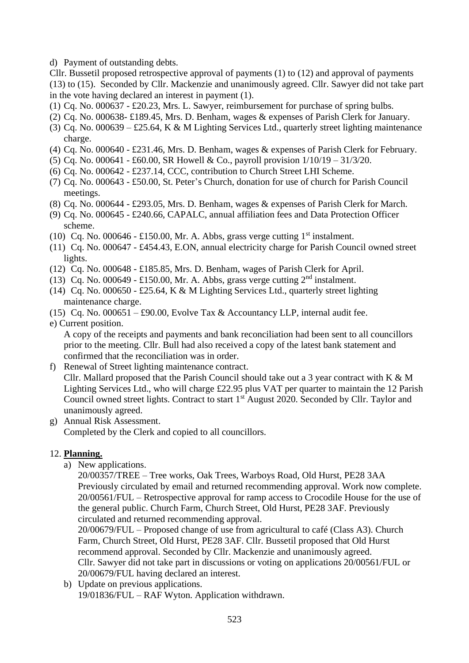d) Payment of outstanding debts.

Cllr. Bussetil proposed retrospective approval of payments (1) to (12) and approval of payments (13) to (15). Seconded by Cllr. Mackenzie and unanimously agreed. Cllr. Sawyer did not take part in the vote having declared an interest in payment (1).

- (1) Cq. No. 000637 £20.23, Mrs. L. Sawyer, reimbursement for purchase of spring bulbs.
- (2) Cq. No. 000638- £189.45, Mrs. D. Benham, wages & expenses of Parish Clerk for January.
- (3) Cq. No. 000639 £25.64, K & M Lighting Services Ltd., quarterly street lighting maintenance charge.
- (4) Cq. No. 000640 £231.46, Mrs. D. Benham, wages & expenses of Parish Clerk for February.
- (5) Cq. No. 000641 £60.00, SR Howell & Co., payroll provision 1/10/19 31/3/20.
- (6) Cq. No. 000642 £237.14, CCC, contribution to Church Street LHI Scheme.
- (7) Cq. No. 000643 £50.00, St. Peter's Church, donation for use of church for Parish Council meetings.
- (8) Cq. No. 000644 £293.05, Mrs. D. Benham, wages & expenses of Parish Clerk for March.
- (9) Cq. No. 000645 £240.66, CAPALC, annual affiliation fees and Data Protection Officer scheme.
- (10) Cq. No. 000646 £150.00, Mr. A. Abbs, grass verge cutting  $1<sup>st</sup>$  instalment.
- (11) Cq. No. 000647 £454.43, E.ON, annual electricity charge for Parish Council owned street lights.
- (12) Cq. No. 000648 £185.85, Mrs. D. Benham, wages of Parish Clerk for April.
- (13) Cq. No. 000649 £150.00, Mr. A. Abbs, grass verge cutting  $2<sup>nd</sup>$  instalment.
- (14) Cq. No. 000650 £25.64, K & M Lighting Services Ltd., quarterly street lighting maintenance charge.
- (15) Cq. No. 000651 £90.00, Evolve Tax & Accountancy LLP, internal audit fee.
- e) Current position.

A copy of the receipts and payments and bank reconciliation had been sent to all councillors prior to the meeting. Cllr. Bull had also received a copy of the latest bank statement and confirmed that the reconciliation was in order.

- f) Renewal of Street lighting maintenance contract. Cllr. Mallard proposed that the Parish Council should take out a 3 year contract with K & M Lighting Services Ltd., who will charge £22.95 plus VAT per quarter to maintain the 12 Parish Council owned street lights. Contract to start 1<sup>st</sup> August 2020. Seconded by Cllr. Taylor and unanimously agreed.
- g) Annual Risk Assessment. Completed by the Clerk and copied to all councillors.

# 12. **Planning.**

a) New applications.

20/00357/TREE – Tree works, Oak Trees, Warboys Road, Old Hurst, PE28 3AA Previously circulated by email and returned recommending approval. Work now complete. 20/00561/FUL – Retrospective approval for ramp access to Crocodile House for the use of the general public. Church Farm, Church Street, Old Hurst, PE28 3AF. Previously circulated and returned recommending approval.

20/00679/FUL – Proposed change of use from agricultural to café (Class A3). Church Farm, Church Street, Old Hurst, PE28 3AF. Cllr. Bussetil proposed that Old Hurst recommend approval. Seconded by Cllr. Mackenzie and unanimously agreed. Cllr. Sawyer did not take part in discussions or voting on applications 20/00561/FUL or 20/00679/FUL having declared an interest.

b) Update on previous applications. 19/01836/FUL – RAF Wyton. Application withdrawn.